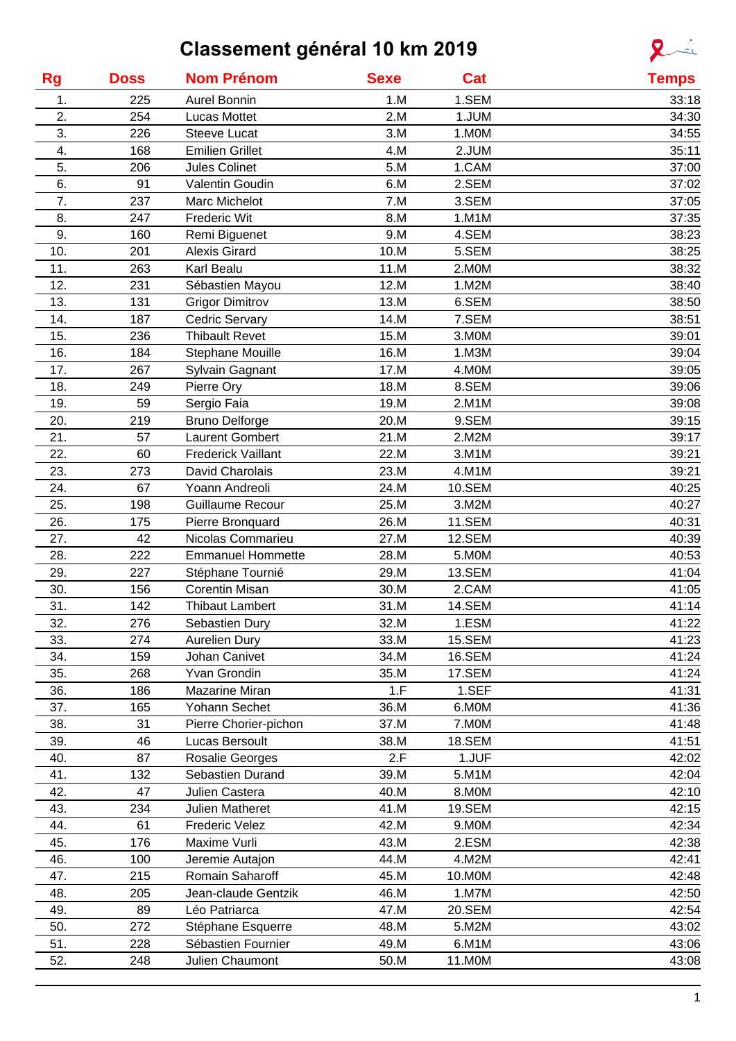# **Classement général 10 km 2019**



| <b>Rg</b> | <b>Doss</b> | <b>Nom Prénom</b>         | <b>Sexe</b> | Cat           | <b>Temps</b> |
|-----------|-------------|---------------------------|-------------|---------------|--------------|
| 1.        | 225         | <b>Aurel Bonnin</b>       | 1.M         | 1.SEM         | 33:18        |
| 2.        | 254         | <b>Lucas Mottet</b>       | 2.M         | 1.JUM         | 34:30        |
| 3.        | 226         | <b>Steeve Lucat</b>       | 3.M         | 1.MOM         | 34:55        |
| 4.        | 168         | <b>Emilien Grillet</b>    | 4.M         | 2.JUM         | 35:11        |
| 5.        | 206         | Jules Colinet             | 5.M         | 1.CAM         | 37:00        |
| 6.        | 91          | Valentin Goudin           | 6.M         | 2.SEM         | 37:02        |
| 7.        | 237         | Marc Michelot             | 7.M         | 3.SEM         | 37:05        |
| 8.        | 247         | <b>Frederic Wit</b>       | 8.M         | 1.M1M         | 37:35        |
| 9.        | 160         | Remi Biguenet             | 9.M         | 4.SEM         | 38:23        |
| 10.       | 201         | <b>Alexis Girard</b>      | 10.M        | 5.SEM         | 38:25        |
| 11.       | 263         | Karl Bealu                | 11.M        | 2.MOM         | 38:32        |
| 12.       | 231         | Sébastien Mayou           | 12.M        | 1.M2M         | 38:40        |
| 13.       | 131         | <b>Grigor Dimitrov</b>    | 13.M        | 6.SEM         | 38:50        |
| 14.       | 187         | Cedric Servary            | 14.M        | 7.SEM         | 38:51        |
| 15.       | 236         | <b>Thibault Revet</b>     | 15.M        | 3.MOM         | 39:01        |
| 16.       | 184         | <b>Stephane Mouille</b>   | 16.M        | 1.M3M         | 39:04        |
| 17.       | 267         | Sylvain Gagnant           | 17.M        | 4.MOM         | 39:05        |
| 18.       | 249         | Pierre Ory                | 18.M        | 8.SEM         | 39:06        |
| 19.       | 59          | Sergio Faia               | 19.M        | 2.M1M         | 39:08        |
| 20.       | 219         | <b>Bruno Delforge</b>     | 20.M        | 9.SEM         | 39:15        |
| 21.       | 57          | <b>Laurent Gombert</b>    | 21.M        | 2.M2M         | 39:17        |
| 22.       | 60          | <b>Frederick Vaillant</b> | 22.M        | 3.M1M         | 39:21        |
| 23.       | 273         | David Charolais           | 23.M        | 4.M1M         | 39:21        |
| 24.       | 67          | Yoann Andreoli            | 24.M        | 10.SEM        | 40:25        |
| 25.       | 198         | Guillaume Recour          | 25.M        | 3.M2M         | 40:27        |
| 26.       | 175         | Pierre Bronquard          | 26.M        | 11.SEM        | 40:31        |
| 27.       | 42          | Nicolas Commarieu         | 27.M        | 12.SEM        | 40:39        |
| 28.       | 222         | <b>Emmanuel Hommette</b>  | 28.M        | 5.MOM         | 40:53        |
| 29.       | 227         | Stéphane Tournié          | 29.M        | 13.SEM        | 41:04        |
| 30.       | 156         | Corentin Misan            | 30.M        | 2.CAM         | 41:05        |
| 31.       | 142         | Thibaut Lambert           | 31.M        | <b>14.SEM</b> | 41:14        |
|           |             |                           |             |               |              |
| 32.       | 276         | Sebastien Dury            | 32.M        | 1.ESM         | 41:22        |
| 33.       | 274         | <b>Aurelien Dury</b>      | 33.M        | 15.SEM        | 41:23        |
| 34.       | 159         | Johan Canivet             | 34.M        | 16.SEM        | 41:24        |
| 35.       | 268         | <b>Yvan Grondin</b>       | 35.M        | 17.SEM        | 41:24        |
| 36.       | 186         | Mazarine Miran            | 1.F         | 1.SEF         | 41:31        |
| 37.       | 165         | Yohann Sechet             | 36.M        | 6.MOM         | 41:36        |
| 38.       | 31          | Pierre Chorier-pichon     | 37.M        | 7.MOM         | 41:48        |
| 39.       | 46          | Lucas Bersoult            | 38.M        | <b>18.SEM</b> | 41:51        |
| 40.       | 87          | Rosalie Georges           | 2.F         | 1.JUF         | 42:02        |
| 41.       | 132         | Sebastien Durand          | 39.M        | 5.M1M         | 42:04        |
| 42.       | 47          | Julien Castera            | 40.M        | 8.MOM         | 42:10        |
| 43.       | 234         | Julien Matheret           | 41.M        | 19.SEM        | 42:15        |
| 44.       | 61          | <b>Frederic Velez</b>     | 42.M        | 9.MOM         | 42:34        |
| 45.       | 176         | Maxime Vurli              | 43.M        | 2.ESM         | 42:38        |
| 46.       | 100         | Jeremie Autajon           | 44.M        | 4.M2M         | 42:41        |
| 47.       | 215         | Romain Saharoff           | 45.M        | 10.M0M        | 42:48        |
| 48.       | 205         | Jean-claude Gentzik       | 46.M        | 1.M7M         | 42:50        |
| 49.       | 89          | Léo Patriarca             | 47.M        | 20.SEM        | 42:54        |
| 50.       | 272         | Stéphane Esquerre         | 48.M        | 5.M2M         | 43:02        |
| 51.       | 228         | Sébastien Fournier        | 49.M        | 6.M1M         | 43:06        |
| 52.       | 248         | Julien Chaumont           | 50.M        | 11.M0M        | 43:08        |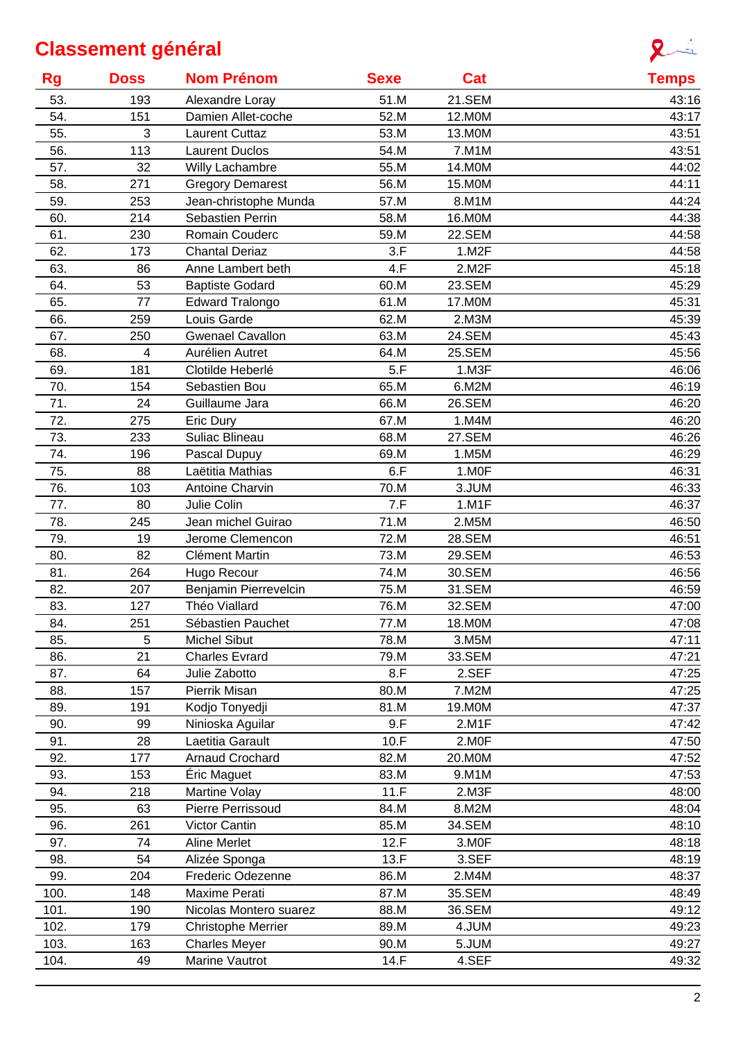

| <b>Rg</b> | <b>Doss</b> | <b>Nom Prénom</b>       | <b>Sexe</b> | Cat    | <b>Temps</b> |
|-----------|-------------|-------------------------|-------------|--------|--------------|
| 53.       | 193         | Alexandre Loray         | 51.M        | 21.SEM | 43:16        |
| 54.       | 151         | Damien Allet-coche      | 52.M        | 12.M0M | 43:17        |
| 55.       | 3           | <b>Laurent Cuttaz</b>   | 53.M        | 13.M0M | 43:51        |
| 56.       | 113         | <b>Laurent Duclos</b>   | 54.M        | 7.M1M  | 43:51        |
| 57.       | 32          | Willy Lachambre         | 55.M        | 14.M0M | 44:02        |
| 58.       | 271         | <b>Gregory Demarest</b> | 56.M        | 15.M0M | 44:11        |
| 59.       | 253         | Jean-christophe Munda   | 57.M        | 8.M1M  | 44:24        |
| 60.       | 214         | <b>Sebastien Perrin</b> | 58.M        | 16.M0M | 44:38        |
| 61.       | 230         | Romain Couderc          | 59.M        | 22.SEM | 44:58        |
| 62.       | 173         | <b>Chantal Deriaz</b>   | 3.F         | 1.M2F  | 44:58        |
| 63.       | 86          | Anne Lambert beth       | 4.F         | 2.M2F  | 45:18        |
| 64.       | 53          | <b>Baptiste Godard</b>  | 60.M        | 23.SEM | 45:29        |
| 65.       | 77          | <b>Edward Tralongo</b>  | 61.M        | 17.M0M | 45:31        |
| 66.       | 259         | Louis Garde             | 62.M        | 2.M3M  | 45:39        |
| 67.       | 250         | <b>Gwenael Cavallon</b> | 63.M        | 24.SEM | 45:43        |
| 68.       | 4           | Aurélien Autret         | 64.M        | 25.SEM | 45:56        |
| 69.       | 181         | Clotilde Heberlé        | 5.F         | 1.M3F  | 46:06        |
| 70.       | 154         | Sebastien Bou           | 65.M        | 6.M2M  | 46:19        |
| 71.       | 24          | Guillaume Jara          | 66.M        | 26.SEM | 46:20        |
| 72.       | 275         | Eric Dury               | 67.M        | 1.M4M  | 46:20        |
| 73.       | 233         | Suliac Blineau          | 68.M        | 27.SEM | 46:26        |
| 74.       | 196         | Pascal Dupuy            | 69.M        | 1.M5M  | 46:29        |
| 75.       | 88          | Laëtitia Mathias        | 6.F         | 1.MOF  | 46:31        |
| 76.       | 103         | <b>Antoine Charvin</b>  | 70.M        | 3.JUM  | 46:33        |
| 77.       | 80          | Julie Colin             | 7.F         | 1.M1F  | 46:37        |
| 78.       | 245         | Jean michel Guirao      | 71.M        | 2.M5M  | 46:50        |
| 79.       | 19          | Jerome Clemencon        | 72.M        | 28.SEM | 46:51        |
| 80.       | 82          | Clément Martin          | 73.M        | 29.SEM | 46:53        |
| 81.       | 264         | Hugo Recour             | 74.M        | 30.SEM | 46:56        |
| 82.       | 207         | Benjamin Pierrevelcin   | 75.M        | 31.SEM | 46:59        |
| 83.       | 127         | Théo Viallard           | 76.M        | 32.SEM | 47:00        |
| 84.       | 251         | Sébastien Pauchet       | 77.M        | 18.M0M | 47:08        |
| 85.       | 5           | Michel Sibut            | 78.M        | 3.M5M  | 47:11        |
| 86.       | 21          | <b>Charles Evrard</b>   | 79.M        | 33.SEM | 47:21        |
| 87.       | 64          | Julie Zabotto           | 8.F         | 2.SEF  | 47:25        |
| 88.       | 157         | Pierrik Misan           | 80.M        | 7.M2M  | 47:25        |
| 89.       | 191         | Kodjo Tonyedji          | 81.M        | 19.M0M | 47:37        |
| 90.       | 99          | Ninioska Aguilar        | 9.F         | 2.M1F  | 47:42        |
| 91.       | 28          | Laetitia Garault        | 10.F        | 2.MOF  | 47:50        |
| 92.       | 177         | Arnaud Crochard         | 82.M        | 20.M0M | 47:52        |
| 93.       | 153         | Éric Maguet             | 83.M        | 9.M1M  | 47:53        |
| 94.       | 218         | Martine Volay           | 11.F        | 2.M3F  | 48:00        |
| 95.       | 63          | Pierre Perrissoud       | 84.M        | 8.M2M  | 48:04        |
| 96.       | 261         | Victor Cantin           | 85.M        | 34.SEM | 48:10        |
| 97.       | 74          | Aline Merlet            | 12.F        | 3.MOF  | 48:18        |
| 98.       | 54          | Alizée Sponga           | 13.F        | 3.SEF  | 48:19        |
| 99.       | 204         | Frederic Odezenne       | 86.M        | 2.M4M  | 48:37        |
| 100.      | 148         | Maxime Perati           | 87.M        | 35.SEM | 48:49        |
| 101.      | 190         | Nicolas Montero suarez  | 88.M        | 36.SEM | 49:12        |
| 102.      | 179         | Christophe Merrier      | 89.M        | 4.JUM  | 49:23        |
| 103.      | 163         | <b>Charles Meyer</b>    | 90.M        | 5.JUM  | 49:27        |
| 104.      | 49          | Marine Vautrot          | 14.F        | 4.SEF  | 49:32        |
|           |             |                         |             |        |              |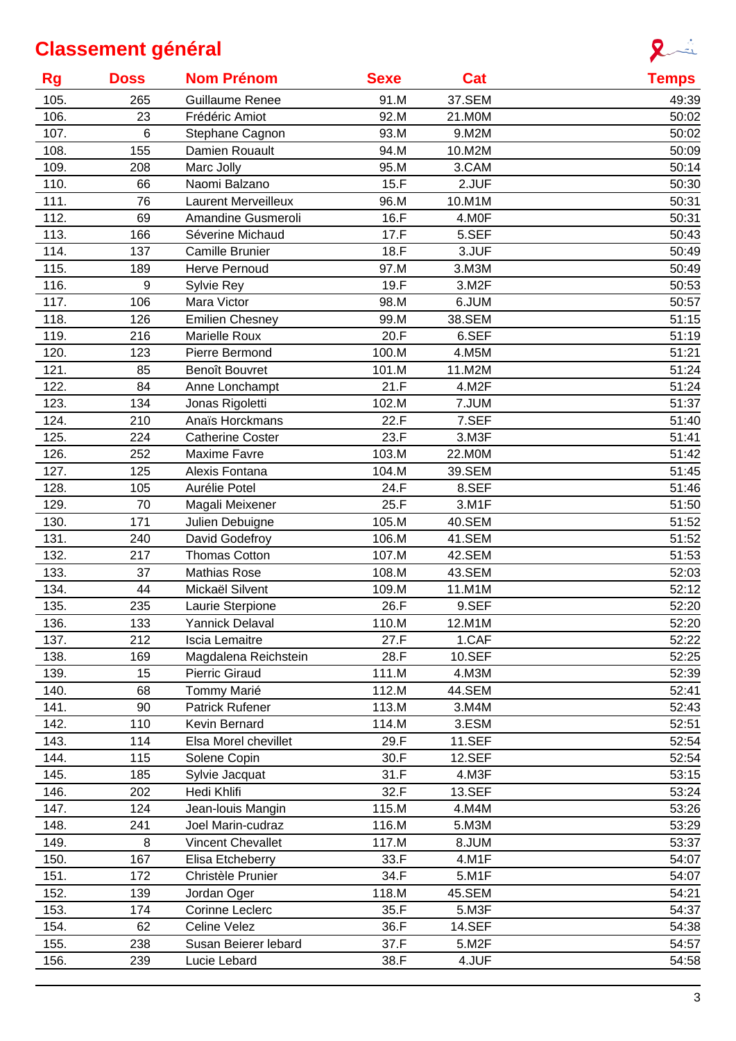

| <b>Rg</b> | <b>Doss</b> | <b>Nom Prénom</b>          | <b>Sexe</b> | Cat           | <b>Temps</b> |
|-----------|-------------|----------------------------|-------------|---------------|--------------|
| 105.      | 265         | Guillaume Renee            | 91.M        | 37.SEM        | 49:39        |
| 106.      | 23          | Frédéric Amiot             | 92.M        | 21.M0M        | 50:02        |
| 107.      | 6           | Stephane Cagnon            | 93.M        | 9.M2M         | 50:02        |
| 108.      | 155         | Damien Rouault             | 94.M        | 10.M2M        | 50:09        |
| 109.      | 208         | Marc Jolly                 | 95.M        | 3.CAM         | 50:14        |
| 110.      | 66          | Naomi Balzano              | 15.F        | 2.JUF         | 50:30        |
| 111.      | 76          | <b>Laurent Merveilleux</b> | 96.M        | 10.M1M        | 50:31        |
| 112.      | 69          | Amandine Gusmeroli         | 16.F        | 4.MOF         | 50:31        |
| 113.      | 166         | Séverine Michaud           | 17.F        | 5.SEF         | 50:43        |
| 114.      | 137         | Camille Brunier            | 18.F        | 3.JUF         | 50:49        |
| 115.      | 189         | <b>Herve Pernoud</b>       | 97.M        | 3.M3M         | 50:49        |
| 116.      | 9           | Sylvie Rey                 | 19.F        | 3.M2F         | 50:53        |
| 117.      | 106         | Mara Victor                | 98.M        | 6.JUM         | 50:57        |
| 118.      | 126         | <b>Emilien Chesney</b>     | 99.M        | 38.SEM        | 51:15        |
| 119.      | 216         | <b>Marielle Roux</b>       | 20.F        | 6.SEF         | 51:19        |
| 120.      | 123         | Pierre Bermond             | 100.M       | 4.M5M         | 51:21        |
| 121.      | 85          | <b>Benoît Bouvret</b>      | 101.M       | 11.M2M        | 51:24        |
| 122.      | 84          | Anne Lonchampt             | 21.F        | 4.M2F         | 51:24        |
| 123.      | 134         | Jonas Rigoletti            | 102.M       | 7.JUM         | 51:37        |
| 124.      | 210         | Anaïs Horckmans            | 22.F        | 7.SEF         | 51:40        |
| 125.      | 224         | <b>Catherine Coster</b>    | 23.F        | 3.M3F         | 51:41        |
| 126.      | 252         | <b>Maxime Favre</b>        | 103.M       | 22.M0M        | 51:42        |
| 127.      | 125         | Alexis Fontana             | 104.M       | 39.SEM        | 51:45        |
| 128.      | 105         | Aurélie Potel              | 24.F        | 8.SEF         | 51:46        |
| 129.      | 70          | Magali Meixener            | 25.F        | 3.M1F         | 51:50        |
| 130.      | 171         | Julien Debuigne            | 105.M       | 40.SEM        | 51:52        |
| 131.      | 240         | David Godefroy             | 106.M       | 41.SEM        | 51:52        |
| 132.      | 217         | <b>Thomas Cotton</b>       | 107.M       | 42.SEM        | 51:53        |
| 133.      | 37          | <b>Mathias Rose</b>        | 108.M       | 43.SEM        | 52:03        |
| 134.      | 44          | Mickaël Silvent            | 109.M       | 11.M1M        | 52:12        |
| 135.      | 235         | Laurie Sterpione           | 26.F        | 9.SEF         | 52:20        |
| 136.      | 133         | Yannick Delaval            | 110.M       | 12.M1M        | 52:20        |
| 137.      | 212         | Iscia Lemaitre             | 27.F        | 1.CAF         | 52:22        |
| 138.      | 169         | Magdalena Reichstein       | 28.F        | 10.SEF        | 52:25        |
| 139.      | 15          | <b>Pierric Giraud</b>      | 111.M       | 4.M3M         | 52:39        |
| 140.      | 68          | Tommy Marié                | 112.M       | 44.SEM        | 52:41        |
| 141.      | 90          | Patrick Rufener            | 113.M       | 3.M4M         | 52:43        |
| 142.      | 110         | Kevin Bernard              | 114.M       | 3.ESM         | 52:51        |
| 143.      | 114         | Elsa Morel chevillet       | 29.F        | <b>11.SEF</b> | 52:54        |
| 144.      | 115         | Solene Copin               | 30.F        | <b>12.SEF</b> | 52:54        |
| 145.      | 185         | Sylvie Jacquat             | 31.F        | 4.M3F         | 53:15        |
| 146.      | 202         | Hedi Khlifi                | 32.F        | 13.SEF        | 53:24        |
| 147.      | 124         | Jean-Iouis Mangin          | 115.M       | 4.M4M         | 53:26        |
| 148.      | 241         | Joel Marin-cudraz          | 116.M       | 5.M3M         | 53:29        |
| 149.      | 8           | <b>Vincent Chevallet</b>   | 117.M       | 8.JUM         | 53:37        |
| 150.      | 167         | Elisa Etcheberry           | 33.F        | 4.M1F         | 54:07        |
| 151.      | 172         | Christèle Prunier          | 34.F        | 5.M1F         | 54:07        |
| 152.      | 139         | Jordan Oger                | 118.M       | 45.SEM        | 54:21        |
| 153.      | 174         | Corinne Leclerc            | 35.F        | 5.M3F         | 54:37        |
| 154.      | 62          | Celine Velez               | 36.F        | <b>14.SEF</b> | 54:38        |
| 155.      | 238         | Susan Beierer lebard       | 37.F        | 5.M2F         | 54:57        |
| 156.      | 239         | Lucie Lebard               | 38.F        | 4.JUF         | 54:58        |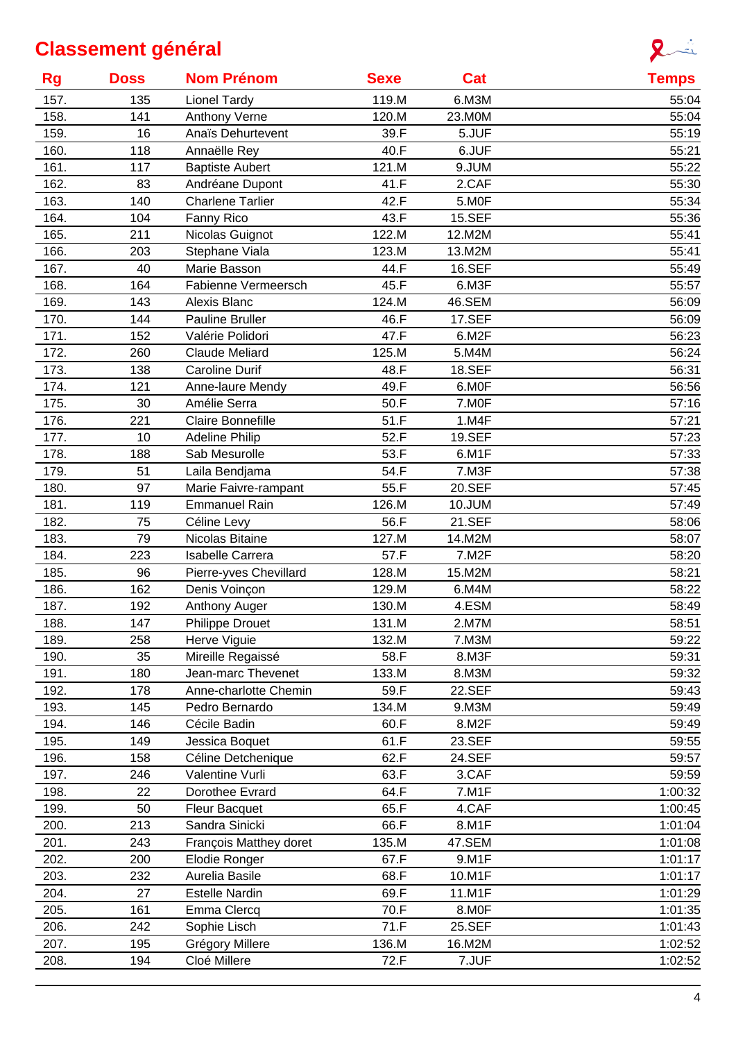

| <b>Rg</b> | <b>Doss</b> | <b>Nom Prénom</b>        | <b>Sexe</b> | Cat             | <b>Temps</b>   |
|-----------|-------------|--------------------------|-------------|-----------------|----------------|
| 157.      | 135         | <b>Lionel Tardy</b>      | 119.M       | 6.M3M           | 55:04          |
| 158.      | 141         | <b>Anthony Verne</b>     | 120.M       | 23.M0M          | 55:04          |
| 159.      | 16          | Anaïs Dehurtevent        | 39.F        | 5.JUF           | 55:19          |
| 160.      | 118         | Annaëlle Rey             | 40.F        | 6.JUF           | 55:21          |
| 161.      | 117         | <b>Baptiste Aubert</b>   | 121.M       | 9.JUM           | 55:22          |
| 162.      | 83          | Andréane Dupont          | 41.F        | 2.CAF           | 55:30          |
| 163.      | 140         | <b>Charlene Tarlier</b>  | 42.F        | 5.MOF           | 55:34          |
| 164.      | 104         | Fanny Rico               | 43.F        | <b>15.SEF</b>   | 55:36          |
| 165.      | 211         | Nicolas Guignot          | 122.M       | 12.M2M          | 55:41          |
| 166.      | 203         | Stephane Viala           | 123.M       | 13.M2M          | 55:41          |
| 167.      | 40          | Marie Basson             | 44.F        | 16.SEF          | 55:49          |
| 168.      | 164         | Fabienne Vermeersch      | 45.F        | 6.M3F           | 55:57          |
| 169.      | 143         | Alexis Blanc             | 124.M       | 46.SEM          | 56:09          |
| 170.      | 144         | <b>Pauline Bruller</b>   | 46.F        | <b>17.SEF</b>   | 56:09          |
| 171.      | 152         | Valérie Polidori         | 47.F        | 6.M2F           | 56:23          |
| 172.      | 260         | <b>Claude Meliard</b>    | 125.M       | 5.M4M           | 56:24          |
| 173.      | 138         | <b>Caroline Durif</b>    | 48.F        | <b>18.SEF</b>   | 56:31          |
| 174.      | 121         | Anne-laure Mendy         | 49.F        | 6.MOF           | 56:56          |
| 175.      | 30          | Amélie Serra             | 50.F        | 7.M0F           | 57:16          |
| 176.      | 221         | <b>Claire Bonnefille</b> | 51.F        | 1.M4F           | 57:21          |
| 177.      | 10          | <b>Adeline Philip</b>    | 52.F        | 19.SEF          | 57:23          |
| 178.      | 188         | Sab Mesurolle            | 53.F        | 6.M1F           | 57:33          |
| 179.      | 51          | Laila Bendjama           | 54.F        | 7.M3F           | 57:38          |
| 180.      | 97          | Marie Faivre-rampant     | 55.F        | 20.SEF          | 57:45          |
| 181.      | 119         | <b>Emmanuel Rain</b>     | 126.M       | 10.JUM          | 57:49          |
| 182.      | 75          | Céline Levy              | 56.F        | 21.SEF          | 58:06          |
| 183.      | 79          | Nicolas Bitaine          | 127.M       |                 |                |
|           | 223         |                          | 57.F        | 14.M2M<br>7.M2F | 58:07<br>58:20 |
| 184.      |             | Isabelle Carrera         |             |                 |                |
| 185.      | 96          | Pierre-yves Chevillard   | 128.M       | 15.M2M          | 58:21          |
| 186.      | 162         | Denis Voinçon            | 129.M       | 6.M4M           | 58:22          |
| 187.      | 192         | Anthony Auger            | 130.M       | 4.ESM           | 58:49          |
| 188.      | 147         | Philippe Drouet          | 131.M       | 2.M7M           | 58:51          |
| 189.      | 258         | Herve Viguie             | 132.M       | 7.M3M           | 59:22          |
| 190.      | 35          | Mireille Regaissé        | 58.F        | 8.M3F           | 59:31          |
| 191.      | 180         | Jean-marc Thevenet       | 133.M       | 8.M3M           | 59:32          |
| 192.      | 178         | Anne-charlotte Chemin    | 59.F        | 22.SEF          | 59:43          |
| 193.      | 145         | Pedro Bernardo           | 134.M       | 9.M3M           | 59:49          |
| 194.      | 146         | Cécile Badin             | 60.F        | 8.M2F           | 59:49          |
| 195.      | 149         | Jessica Boquet           | 61.F        | 23.SEF          | 59:55          |
| 196.      | 158         | Céline Detchenique       | 62.F        | 24.SEF          | 59:57          |
| 197.      | 246         | Valentine Vurli          | 63.F        | 3.CAF           | 59:59          |
| 198.      | 22          | Dorothee Evrard          | 64.F        | 7.M1F           | 1:00:32        |
| 199.      | 50          | <b>Fleur Bacquet</b>     | 65.F        | 4.CAF           | 1:00:45        |
| 200.      | 213         | Sandra Sinicki           | 66.F        | 8.M1F           | 1:01:04        |
| 201.      | 243         | François Matthey doret   | 135.M       | 47.SEM          | 1:01:08        |
| 202.      | 200         | Elodie Ronger            | 67.F        | 9.M1F           | 1:01:17        |
| 203.      | 232         | Aurelia Basile           | 68.F        | 10.M1F          | 1:01:17        |
| 204.      | 27          | <b>Estelle Nardin</b>    | 69.F        | 11.M1F          | 1:01:29        |
| 205.      | 161         | Emma Clercq              | 70.F        | 8.MOF           | 1:01:35        |
| 206.      | 242         | Sophie Lisch             | 71.F        | 25.SEF          | 1:01:43        |
| 207.      | 195         | Grégory Millere          | 136.M       | 16.M2M          | 1:02:52        |
| 208.      | 194         | Cloé Millere             | 72.F        | 7.JUF           | 1:02:52        |